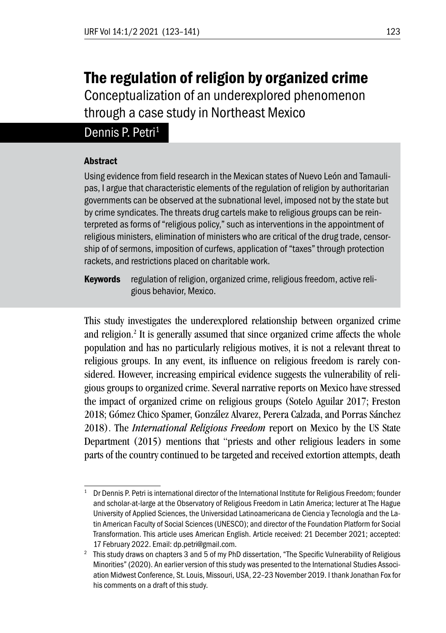# The regulation of religion by organized crime

Conceptualization of an underexplored phenomenon through a case study in Northeast Mexico

# Dennis P. Petri<sup>1</sup>

#### Abstract

Using evidence from field research in the Mexican states of Nuevo León and Tamaulipas, I argue that characteristic elements of the regulation of religion by authoritarian governments can be observed at the subnational level, imposed not by the state but by crime syndicates. The threats drug cartels make to religious groups can be reinterpreted as forms of "religious policy," such as interventions in the appointment of religious ministers, elimination of ministers who are critical of the drug trade, censorship of of sermons, imposition of curfews, application of "taxes" through protection rackets, and restrictions placed on charitable work.

Keywords regulation of religion, organized crime, religious freedom, active religious behavior, Mexico.

This study investigates the underexplored relationship between organized crime and religion.<sup>2</sup> It is generally assumed that since organized crime affects the whole population and has no particularly religious motives, it is not a relevant threat to religious groups. In any event, its influence on religious freedom is rarely considered. However, increasing empirical evidence suggests the vulnerability of religious groups to organized crime. Several narrative reports on Mexico have stressed the impact of organized crime on religious groups (Sotelo Aguilar 2017; Freston 2018; Gómez Chico Spamer, González Alvarez, Perera Calzada, and Porras Sánchez 2018). The *International Religious Freedom* report on Mexico by the US State Department (2015) mentions that "priests and other religious leaders in some parts of the country continued to be targeted and received extortion attempts, death

 $1$  Dr Dennis P. Petri is international director of the International Institute for Religious Freedom; founder and scholar-at-large at the Observatory of Religious Freedom in Latin America; lecturer at The Hague University of Applied Sciences, the Universidad Latinoamericana de Ciencia y Tecnología and the Latin American Faculty of Social Sciences (UNESCO); and director of the Foundation Platform for Social Transformation. This article uses American English. Article received: 21 December 2021; accepted: 17 February 2022. Email: dp.petri@gmail.com.

<sup>&</sup>lt;sup>2</sup> This study draws on chapters 3 and 5 of my PhD dissertation, "The Specific Vulnerability of Religious Minorities" (2020). An earlier version of this study was presented to the International Studies Association Midwest Conference, St. Louis, Missouri, USA, 22–23 November 2019. I thank Jonathan Fox for his comments on a draft of this study.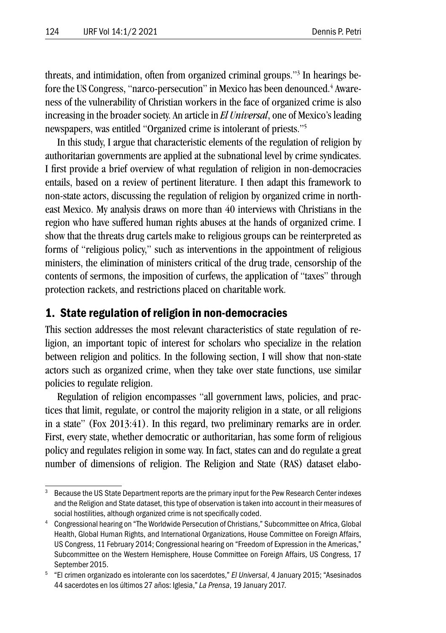threats, and intimidation, often from organized criminal groups."3 In hearings before the US Congress, ''narco-persecution'' in Mexico has been denounced.<sup>4</sup> Awareness of the vulnerability of Christian workers in the face of organized crime is also increasing in the broader society. An article in *El Universal*, one of Mexico's leading newspapers, was entitled "Organized crime is intolerant of priests."5

In this study, I argue that characteristic elements of the regulation of religion by authoritarian governments are applied at the subnational level by crime syndicates. I first provide a brief overview of what regulation of religion in non-democracies entails, based on a review of pertinent literature. I then adapt this framework to non-state actors, discussing the regulation of religion by organized crime in northeast Mexico. My analysis draws on more than 40 interviews with Christians in the region who have suffered human rights abuses at the hands of organized crime. I show that the threats drug cartels make to religious groups can be reinterpreted as forms of "religious policy," such as interventions in the appointment of religious ministers, the elimination of ministers critical of the drug trade, censorship of the contents of sermons, the imposition of curfews, the application of "taxes" through protection rackets, and restrictions placed on charitable work.

# 1. State regulation of religion in non-democracies

This section addresses the most relevant characteristics of state regulation of religion, an important topic of interest for scholars who specialize in the relation between religion and politics. In the following section, I will show that non-state actors such as organized crime, when they take over state functions, use similar policies to regulate religion.

Regulation of religion encompasses "all government laws, policies, and practices that limit, regulate, or control the majority religion in a state, or all religions in a state" (Fox 2013:41). In this regard, two preliminary remarks are in order. First, every state, whether democratic or authoritarian, has some form of religious policy and regulates religion in some way. In fact, states can and do regulate a great number of dimensions of religion. The Religion and State (RAS) dataset elabo-

<sup>&</sup>lt;sup>3</sup> Because the US State Department reports are the primary input for the Pew Research Center indexes and the Religion and State dataset, this type of observation is taken into account in their measures of social hostilities, although organized crime is not specifically coded.

<sup>4</sup> Congressional hearing on "The Worldwide Persecution of Christians," Subcommittee on Africa, Global Health, Global Human Rights, and International Organizations, House Committee on Foreign Affairs, US Congress, 11 February 2014; Congressional hearing on "Freedom of Expression in the Americas," Subcommittee on the Western Hemisphere, House Committee on Foreign Affairs, US Congress, 17 September 2015.

<sup>5</sup> "El crimen organizado es intolerante con los sacerdotes," *El Universal*, 4 January 2015; "Asesinados 44 sacerdotes en los últimos 27 años: Iglesia," *La Prensa*, 19 January 2017.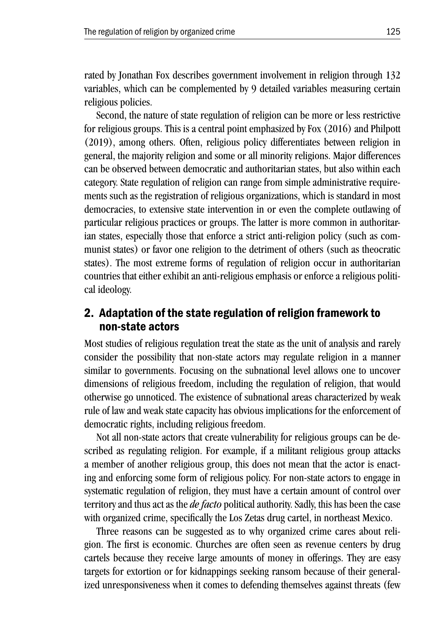rated by Jonathan Fox describes government involvement in religion through 132 variables, which can be complemented by 9 detailed variables measuring certain religious policies.

Second, the nature of state regulation of religion can be more or less restrictive for religious groups. This is a central point emphasized by Fox (2016) and Philpott (2019), among others. Often, religious policy differentiates between religion in general, the majority religion and some or all minority religions. Major differences can be observed between democratic and authoritarian states, but also within each category. State regulation of religion can range from simple administrative requirements such as the registration of religious organizations, which is standard in most democracies, to extensive state intervention in or even the complete outlawing of particular religious practices or groups. The latter is more common in authoritarian states, especially those that enforce a strict anti-religion policy (such as communist states) or favor one religion to the detriment of others (such as theocratic states). The most extreme forms of regulation of religion occur in authoritarian countries that either exhibit an anti-religious emphasis or enforce a religious political ideology.

# 2. Adaptation of the state regulation of religion framework to non-state actors

Most studies of religious regulation treat the state as the unit of analysis and rarely consider the possibility that non-state actors may regulate religion in a manner similar to governments. Focusing on the subnational level allows one to uncover dimensions of religious freedom, including the regulation of religion, that would otherwise go unnoticed. The existence of subnational areas characterized by weak rule of law and weak state capacity has obvious implications for the enforcement of democratic rights, including religious freedom.

Not all non-state actors that create vulnerability for religious groups can be described as regulating religion. For example, if a militant religious group attacks a member of another religious group, this does not mean that the actor is enacting and enforcing some form of religious policy. For non-state actors to engage in systematic regulation of religion, they must have a certain amount of control over territory and thus act as the *de facto* political authority. Sadly, this has been the case with organized crime, specifically the Los Zetas drug cartel, in northeast Mexico.

Three reasons can be suggested as to why organized crime cares about religion. The first is economic. Churches are often seen as revenue centers by drug cartels because they receive large amounts of money in offerings. They are easy targets for extortion or for kidnappings seeking ransom because of their generalized unresponsiveness when it comes to defending themselves against threats (few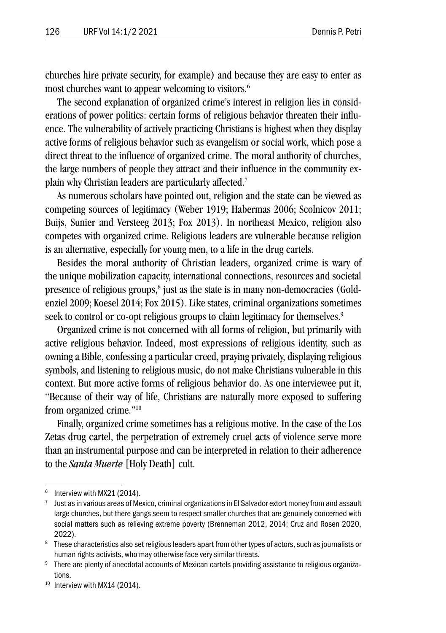churches hire private security, for example) and because they are easy to enter as most churches want to appear welcoming to visitors.<sup>6</sup>

The second explanation of organized crime's interest in religion lies in considerations of power politics: certain forms of religious behavior threaten their influence. The vulnerability of actively practicing Christians is highest when they display active forms of religious behavior such as evangelism or social work, which pose a direct threat to the influence of organized crime. The moral authority of churches, the large numbers of people they attract and their influence in the community explain why Christian leaders are particularly affected.7

As numerous scholars have pointed out, religion and the state can be viewed as competing sources of legitimacy (Weber 1919; Habermas 2006; Scolnicov 2011; Buijs, Sunier and Versteeg 2013; Fox 2013). In northeast Mexico, religion also competes with organized crime. Religious leaders are vulnerable because religion is an alternative, especially for young men, to a life in the drug cartels.

Besides the moral authority of Christian leaders, organized crime is wary of the unique mobilization capacity, international connections, resources and societal presence of religious groups, $^{\rm 8}$  just as the state is in many non-democracies (Goldenziel 2009; Koesel 2014; Fox 2015). Like states, criminal organizations sometimes seek to control or co-opt religious groups to claim legitimacy for themselves.<sup>9</sup>

Organized crime is not concerned with all forms of religion, but primarily with active religious behavior. Indeed, most expressions of religious identity, such as owning a Bible, confessing a particular creed, praying privately, displaying religious symbols, and listening to religious music, do not make Christians vulnerable in this context. But more active forms of religious behavior do. As one interviewee put it, "Because of their way of life, Christians are naturally more exposed to suffering from organized crime."10

Finally, organized crime sometimes has a religious motive. In the case of the Los Zetas drug cartel, the perpetration of extremely cruel acts of violence serve more than an instrumental purpose and can be interpreted in relation to their adherence to the *Santa Muerte* [Holy Death] cult.

<sup>&</sup>lt;sup>6</sup> Interview with MX21 (2014).

 $7$  Just as in various areas of Mexico, criminal organizations in El Salvador extort money from and assault large churches, but there gangs seem to respect smaller churches that are genuinely concerned with social matters such as relieving extreme poverty (Brenneman 2012, 2014; Cruz and Rosen 2020, 2022).

<sup>&</sup>lt;sup>8</sup> These characteristics also set religious leaders apart from other types of actors, such as journalists or human rights activists, who may otherwise face very similar threats.

There are plenty of anecdotal accounts of Mexican cartels providing assistance to religious organizations.

<sup>&</sup>lt;sup>10</sup> Interview with MX14 (2014).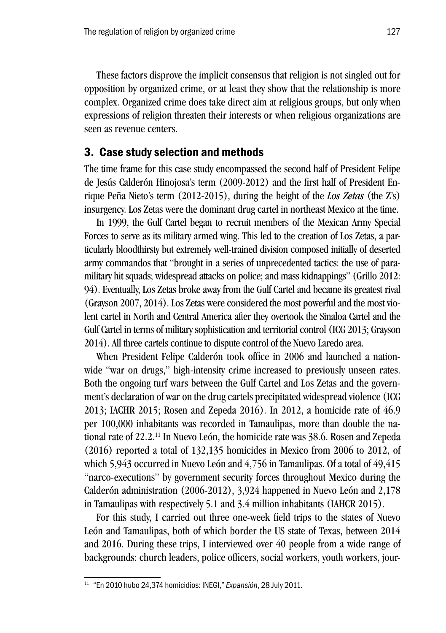These factors disprove the implicit consensus that religion is not singled out for opposition by organized crime, or at least they show that the relationship is more complex. Organized crime does take direct aim at religious groups, but only when expressions of religion threaten their interests or when religious organizations are seen as revenue centers.

## 3. Case study selection and methods

The time frame for this case study encompassed the second half of President Felipe de Jesús Calderón Hinojosa's term (2009-2012) and the first half of President Enrique Peña Nieto's term (2012-2015), during the height of the *Los Zetas* (the Z's) insurgency. Los Zetas were the dominant drug cartel in northeast Mexico at the time.

In 1999, the Gulf Cartel began to recruit members of the Mexican Army Special Forces to serve as its military armed wing. This led to the creation of Los Zetas, a particularly bloodthirsty but extremely well-trained division composed initially of deserted army commandos that "brought in a series of unprecedented tactics: the use of paramilitary hit squads; widespread attacks on police; and mass kidnappings" (Grillo 2012: 94). Eventually, Los Zetas broke away from the Gulf Cartel and became its greatest rival (Grayson 2007, 2014). Los Zetas were considered the most powerful and the most violent cartel in North and Central America after they overtook the Sinaloa Cartel and the Gulf Cartel in terms of military sophistication and territorial control (ICG 2013; Grayson 2014). All three cartels continue to dispute control of the Nuevo Laredo area.

When President Felipe Calderón took office in 2006 and launched a nationwide "war on drugs," high-intensity crime increased to previously unseen rates. Both the ongoing turf wars between the Gulf Cartel and Los Zetas and the government's declaration of war on the drug cartels precipitated widespread violence (ICG 2013; IACHR 2015; Rosen and Zepeda 2016). In 2012, a homicide rate of 46.9 per 100,000 inhabitants was recorded in Tamaulipas, more than double the national rate of 22.2.11 In Nuevo León, the homicide rate was 38.6. Rosen and Zepeda (2016) reported a total of 132,135 homicides in Mexico from 2006 to 2012, of which 5,943 occurred in Nuevo León and 4,756 in Tamaulipas. Of a total of 49,415 "narco-executions" by government security forces throughout Mexico during the Calderón administration (2006-2012), 3,924 happened in Nuevo León and 2,178 in Tamaulipas with respectively 5.1 and 3.4 million inhabitants (IAHCR 2015).

For this study, I carried out three one-week field trips to the states of Nuevo León and Tamaulipas, both of which border the US state of Texas, between 2014 and 2016. During these trips, I interviewed over 40 people from a wide range of backgrounds: church leaders, police officers, social workers, youth workers, jour-

<sup>11</sup> "En 2010 hubo 24,374 homicidios: INEGI," *Expansión*, 28 July 2011.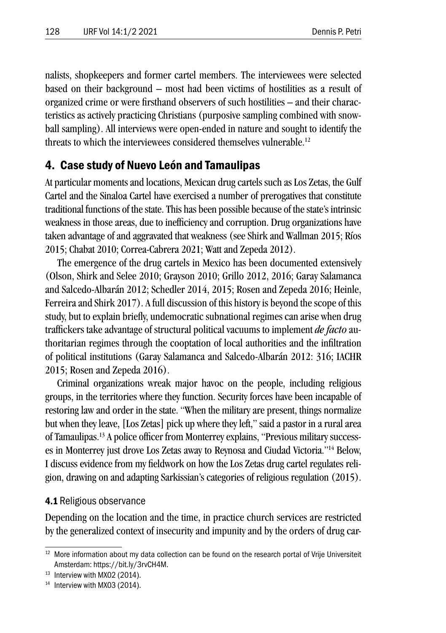nalists, shopkeepers and former cartel members. The interviewees were selected based on their background – most had been victims of hostilities as a result of organized crime or were firsthand observers of such hostilities – and their characteristics as actively practicing Christians (purposive sampling combined with snowball sampling). All interviews were open-ended in nature and sought to identify the threats to which the interviewees considered themselves vulnerable.<sup>12</sup>

# 4. Case study of Nuevo León and Tamaulipas

At particular moments and locations, Mexican drug cartels such as Los Zetas, the Gulf Cartel and the Sinaloa Cartel have exercised a number of prerogatives that constitute traditional functions of the state. This has been possible because of the state's intrinsic weakness in those areas, due to inefficiency and corruption. Drug organizations have taken advantage of and aggravated that weakness (see Shirk and Wallman 2015; Ríos 2015; Chabat 2010; Correa-Cabrera 2021; Watt and Zepeda 2012).

The emergence of the drug cartels in Mexico has been documented extensively (Olson, Shirk and Selee 2010; Grayson 2010; Grillo 2012, 2016; Garay Salamanca and Salcedo-Albarán 2012; Schedler 2014, 2015; Rosen and Zepeda 2016; Heinle, Ferreira and Shirk 2017). A full discussion of this history is beyond the scope of this study, but to explain briefly, undemocratic subnational regimes can arise when drug traffickers take advantage of structural political vacuums to implement *de facto* authoritarian regimes through the cooptation of local authorities and the infiltration of political institutions (Garay Salamanca and Salcedo-Albarán 2012: 316; IACHR 2015; Rosen and Zepeda 2016).

Criminal organizations wreak major havoc on the people, including religious groups, in the territories where they function. Security forces have been incapable of restoring law and order in the state. "When the military are present, things normalize but when they leave, [Los Zetas] pick up where they left," said a pastor in a rural area of Tamaulipas.13 A police officer from Monterrey explains, "Previous military successes in Monterrey just drove Los Zetas away to Reynosa and Ciudad Victoria."14 Below, I discuss evidence from my fieldwork on how the Los Zetas drug cartel regulates religion, drawing on and adapting Sarkissian's categories of religious regulation (2015).

#### 4.1 Religious observance

Depending on the location and the time, in practice church services are restricted by the generalized context of insecurity and impunity and by the orders of drug car-

<sup>&</sup>lt;sup>12</sup> More information about my data collection can be found on the research portal of Vrije Universiteit Amsterdam: https://bit.ly/3rvCH4M.

<sup>&</sup>lt;sup>13</sup> Interview with MX02 (2014).

<sup>&</sup>lt;sup>14</sup> Interview with MX03 (2014).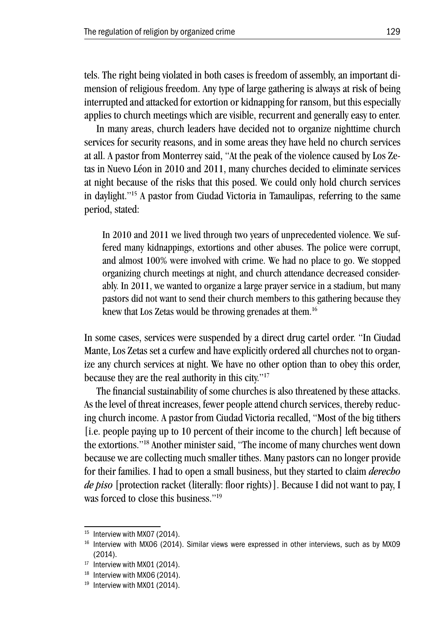tels. The right being violated in both cases is freedom of assembly, an important dimension of religious freedom. Any type of large gathering is always at risk of being interrupted and attacked for extortion or kidnapping for ransom, but this especially applies to church meetings which are visible, recurrent and generally easy to enter.

In many areas, church leaders have decided not to organize nighttime church services for security reasons, and in some areas they have held no church services at all. A pastor from Monterrey said, "At the peak of the violence caused by Los Zetas in Nuevo Léon in 2010 and 2011, many churches decided to eliminate services at night because of the risks that this posed. We could only hold church services in daylight."15 A pastor from Ciudad Victoria in Tamaulipas, referring to the same period, stated:

In 2010 and 2011 we lived through two years of unprecedented violence. We suffered many kidnappings, extortions and other abuses. The police were corrupt, and almost 100% were involved with crime. We had no place to go. We stopped organizing church meetings at night, and church attendance decreased considerably. In 2011, we wanted to organize a large prayer service in a stadium, but many pastors did not want to send their church members to this gathering because they knew that Los Zetas would be throwing grenades at them.<sup>16</sup>

In some cases, services were suspended by a direct drug cartel order. "In Ciudad Mante, Los Zetas set a curfew and have explicitly ordered all churches not to organize any church services at night. We have no other option than to obey this order, because they are the real authority in this city."17

The financial sustainability of some churches is also threatened by these attacks. As the level of threat increases, fewer people attend church services, thereby reducing church income. A pastor from Ciudad Victoria recalled, "Most of the big tithers [i.e. people paying up to 10 percent of their income to the church] left because of the extortions."18 Another minister said, "The income of many churches went down because we are collecting much smaller tithes. Many pastors can no longer provide for their families. I had to open a small business, but they started to claim *derecho de piso* [protection racket (literally: floor rights)]. Because I did not want to pay, I was forced to close this business."<sup>19</sup>

<sup>&</sup>lt;sup>15</sup> Interview with MX07 (2014).

<sup>&</sup>lt;sup>16</sup> Interview with MX06 (2014). Similar views were expressed in other interviews, such as by MX09 (2014).

<sup>&</sup>lt;sup>17</sup> Interview with MX01 (2014).

<sup>&</sup>lt;sup>18</sup> Interview with MX06 (2014).

<sup>&</sup>lt;sup>19</sup> Interview with MX01 (2014).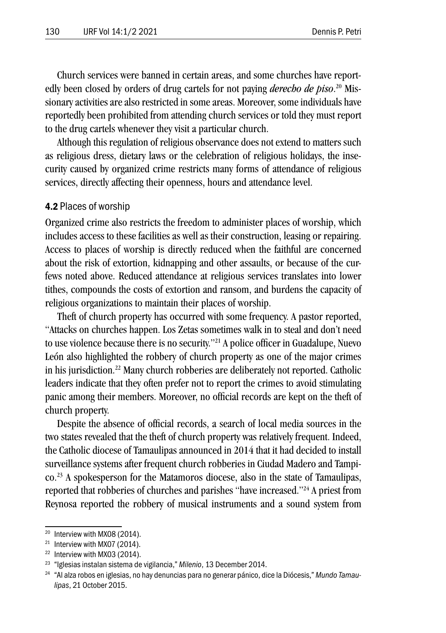Church services were banned in certain areas, and some churches have reportedly been closed by orders of drug cartels for not paying *derecho de piso*. 20 Missionary activities are also restricted in some areas. Moreover, some individuals have reportedly been prohibited from attending church services or told they must report to the drug cartels whenever they visit a particular church.

Although this regulation of religious observance does not extend to matters such as religious dress, dietary laws or the celebration of religious holidays, the insecurity caused by organized crime restricts many forms of attendance of religious services, directly affecting their openness, hours and attendance level.

#### 4.2 Places of worship

Organized crime also restricts the freedom to administer places of worship, which includes access to these facilities as well as their construction, leasing or repairing. Access to places of worship is directly reduced when the faithful are concerned about the risk of extortion, kidnapping and other assaults, or because of the curfews noted above. Reduced attendance at religious services translates into lower tithes, compounds the costs of extortion and ransom, and burdens the capacity of religious organizations to maintain their places of worship.

Theft of church property has occurred with some frequency. A pastor reported, "Attacks on churches happen. Los Zetas sometimes walk in to steal and don't need to use violence because there is no security."21 A police officer in Guadalupe, Nuevo León also highlighted the robbery of church property as one of the major crimes in his jurisdiction.22 Many church robberies are deliberately not reported. Catholic leaders indicate that they often prefer not to report the crimes to avoid stimulating panic among their members. Moreover, no official records are kept on the theft of church property.

Despite the absence of official records, a search of local media sources in the two states revealed that the theft of church property was relatively frequent. Indeed, the Catholic diocese of Tamaulipas announced in 2014 that it had decided to install surveillance systems after frequent church robberies in Ciudad Madero and Tampico.23 A spokesperson for the Matamoros diocese, also in the state of Tamaulipas, reported that robberies of churches and parishes "have increased."24 A priest from Reynosa reported the robbery of musical instruments and a sound system from

<sup>20</sup> Interview with MX08 (2014).

 $21$  Interview with MX07 (2014).

<sup>22</sup> Interview with MX03 (2014).

<sup>23</sup> "Iglesias instalan sistema de vigilancia," *Milenio*, 13 December 2014.

<sup>24</sup> "Al alza robos en iglesias, no hay denuncias para no generar pánico, dice la Diócesis," *Mundo Tamaulipas*, 21 October 2015.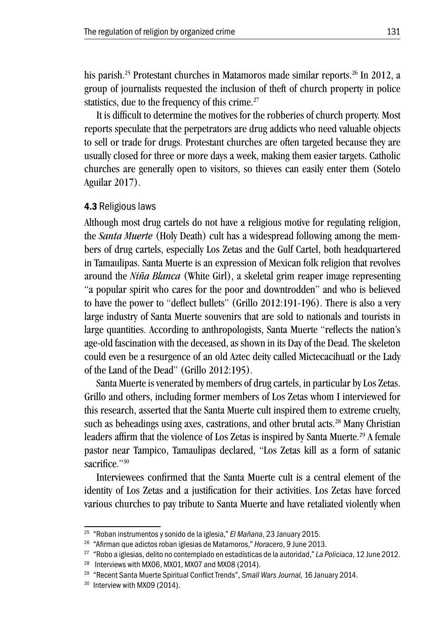his parish.<sup>25</sup> Protestant churches in Matamoros made similar reports.<sup>26</sup> In 2012, a group of journalists requested the inclusion of theft of church property in police statistics, due to the frequency of this crime.<sup>27</sup>

It is difficult to determine the motives for the robberies of church property. Most reports speculate that the perpetrators are drug addicts who need valuable objects to sell or trade for drugs. Protestant churches are often targeted because they are usually closed for three or more days a week, making them easier targets. Catholic churches are generally open to visitors, so thieves can easily enter them (Sotelo Aguilar 2017).

#### 4.3 Religious laws

Although most drug cartels do not have a religious motive for regulating religion, the *Santa Muerte* (Holy Death) cult has a widespread following among the members of drug cartels, especially Los Zetas and the Gulf Cartel, both headquartered in Tamaulipas. Santa Muerte is an expression of Mexican folk religion that revolves around the *Niña Blanca* (White Girl), a skeletal grim reaper image representing "a popular spirit who cares for the poor and downtrodden" and who is believed to have the power to "deflect bullets" (Grillo 2012:191-196). There is also a very large industry of Santa Muerte souvenirs that are sold to nationals and tourists in large quantities. According to anthropologists, Santa Muerte "reflects the nation's age-old fascination with the deceased, as shown in its Day of the Dead. The skeleton could even be a resurgence of an old Aztec deity called Mictecacihuatl or the Lady of the Land of the Dead" (Grillo 2012:195).

Santa Muerte is venerated by members of drug cartels, in particular by Los Zetas. Grillo and others, including former members of Los Zetas whom I interviewed for this research, asserted that the Santa Muerte cult inspired them to extreme cruelty, such as beheadings using axes, castrations, and other brutal acts.<sup>28</sup> Many Christian leaders affirm that the violence of Los Zetas is inspired by Santa Muerte.<sup>29</sup> A female pastor near Tampico, Tamaulipas declared, "Los Zetas kill as a form of satanic sacrifice."30

Interviewees confirmed that the Santa Muerte cult is a central element of the identity of Los Zetas and a justification for their activities. Los Zetas have forced various churches to pay tribute to Santa Muerte and have retaliated violently when

<sup>25</sup> "Roban instrumentos y sonido de la iglesia," *El Mañana*, 23 January 2015.

<sup>26</sup> "Afirman que adictos roban iglesias de Matamoros," *Horacero*, 9 June 2013.

<sup>27</sup> "Robo a iglesias, delito no contemplado en estadísticas de la autoridad," *La Policiaca*, 12 June 2012.

<sup>&</sup>lt;sup>28</sup> Interviews with MX06, MX01, MX07 and MX08 (2014).

<sup>29</sup> "Recent Santa Muerte Spiritual Conflict Trends", *Small Wars Journal,* 16 January 2014.

<sup>&</sup>lt;sup>30</sup> Interview with MX09 (2014).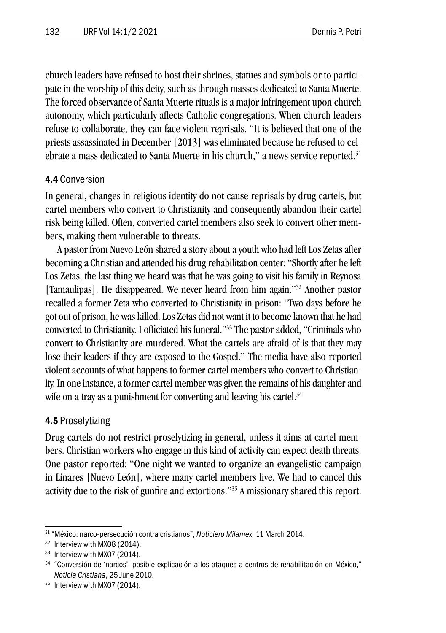church leaders have refused to host their shrines, statues and symbols or to participate in the worship of this deity, such as through masses dedicated to Santa Muerte. The forced observance of Santa Muerte rituals is a major infringement upon church autonomy, which particularly affects Catholic congregations. When church leaders refuse to collaborate, they can face violent reprisals. "It is believed that one of the priests assassinated in December [2013] was eliminated because he refused to celebrate a mass dedicated to Santa Muerte in his church," a news service reported.<sup>31</sup>

#### 4.4 Conversion

In general, changes in religious identity do not cause reprisals by drug cartels, but cartel members who convert to Christianity and consequently abandon their cartel risk being killed. Often, converted cartel members also seek to convert other members, making them vulnerable to threats.

A pastor from Nuevo León shared a story about a youth who had left Los Zetas after becoming a Christian and attended his drug rehabilitation center: "Shortly after he left Los Zetas, the last thing we heard was that he was going to visit his family in Reynosa [Tamaulipas]. He disappeared. We never heard from him again."32 Another pastor recalled a former Zeta who converted to Christianity in prison: "Two days before he got out of prison, he was killed. Los Zetas did not want it to become known that he had converted to Christianity. I officiated his funeral."33 The pastor added, "Criminals who convert to Christianity are murdered. What the cartels are afraid of is that they may lose their leaders if they are exposed to the Gospel." The media have also reported violent accounts of what happens to former cartel members who convert to Christianity. In one instance, a former cartel member was given the remains of his daughter and wife on a tray as a punishment for converting and leaving his cartel.<sup>34</sup>

#### 4.5 Proselytizing

Drug cartels do not restrict proselytizing in general, unless it aims at cartel members. Christian workers who engage in this kind of activity can expect death threats. One pastor reported: "One night we wanted to organize an evangelistic campaign in Linares [Nuevo León], where many cartel members live. We had to cancel this activity due to the risk of gunfire and extortions."35 A missionary shared this report:

<sup>31 &</sup>quot;México: narco-persecución contra cristianos", *Noticiero Milamex*, 11 March 2014.

<sup>32</sup> Interview with MX08 (2014).

<sup>&</sup>lt;sup>33</sup> Interview with MX07 (2014).

<sup>34</sup> "Conversión de 'narcos': posible explicación a los ataques a centros de rehabilitación en México," *Noticia Cristiana*, 25 June 2010.

<sup>&</sup>lt;sup>35</sup> Interview with MX07 (2014).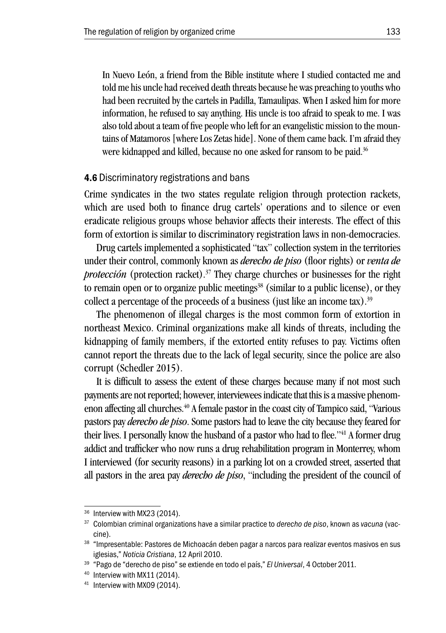In Nuevo León, a friend from the Bible institute where I studied contacted me and told me his uncle had received death threats because he was preaching to youths who had been recruited by the cartels in Padilla, Tamaulipas. When I asked him for more information, he refused to say anything. His uncle is too afraid to speak to me. I was also told about a team of five people who left for an evangelistic mission to the mountains of Matamoros [where Los Zetas hide]. None of them came back. I'm afraid they were kidnapped and killed, because no one asked for ransom to be paid.<sup>36</sup>

#### 4.6 Discriminatory registrations and bans

Crime syndicates in the two states regulate religion through protection rackets, which are used both to finance drug cartels' operations and to silence or even eradicate religious groups whose behavior affects their interests. The effect of this form of extortion is similar to discriminatory registration laws in non-democracies.

Drug cartels implemented a sophisticated "tax" collection system in the territories under their control, commonly known as *derecho de piso* (floor rights) or *venta de protección* (protection racket).<sup>37</sup> They charge churches or businesses for the right to remain open or to organize public meetings<sup>38</sup> (similar to a public license), or they collect a percentage of the proceeds of a business (just like an income tax).39

The phenomenon of illegal charges is the most common form of extortion in northeast Mexico. Criminal organizations make all kinds of threats, including the kidnapping of family members, if the extorted entity refuses to pay. Victims often cannot report the threats due to the lack of legal security, since the police are also corrupt (Schedler 2015).

It is difficult to assess the extent of these charges because many if not most such payments are not reported; however, interviewees indicate that this is a massive phenomenon affecting all churches.<sup>40</sup> A female pastor in the coast city of Tampico said, "Various pastors pay *derecho de piso*. Some pastors had to leave the city because they feared for their lives. I personally know the husband of a pastor who had to flee."<sup>41</sup> A former drug addict and trafficker who now runs a drug rehabilitation program in Monterrey, whom I interviewed (for security reasons) in a parking lot on a crowded street, asserted that all pastors in the area pay *derecho de piso*, "including the president of the council of

<sup>&</sup>lt;sup>36</sup> Interview with MX23 (2014).

<sup>37</sup> Colombian criminal organizations have a similar practice to *derecho de piso*, known as *vacuna* (vaccine).

<sup>&</sup>lt;sup>38</sup> "Impresentable: Pastores de Michoacán deben pagar a narcos para realizar eventos masivos en sus iglesias," *Noticia Cristiana*, 12 April 2010.

<sup>39</sup> "Pago de "derecho de piso" se extiende en todo el país," *El Universal*, 4 October 2011.

<sup>40</sup> Interview with MX11 (2014).

<sup>&</sup>lt;sup>41</sup> Interview with MX09 (2014).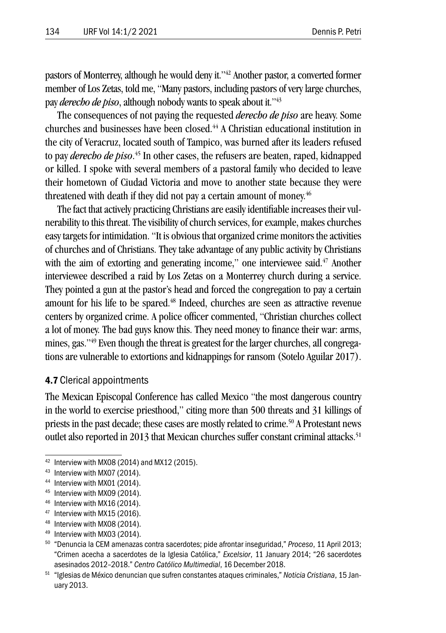pastors of Monterrey, although he would deny it."42 Another pastor, a converted former member of Los Zetas, told me, "Many pastors, including pastors of very large churches, pay *derecho de piso*, although nobody wants to speak about it."43

The consequences of not paying the requested *derecho de piso* are heavy. Some churches and businesses have been closed.44 A Christian educational institution in the city of Veracruz, located south of Tampico, was burned after its leaders refused to pay *derecho de piso*. 45 In other cases, the refusers are beaten, raped, kidnapped or killed. I spoke with several members of a pastoral family who decided to leave their hometown of Ciudad Victoria and move to another state because they were threatened with death if they did not pay a certain amount of money.<sup>46</sup>

The fact that actively practicing Christians are easily identifiable increases their vulnerability to this threat. The visibility of church services, for example, makes churches easy targets for intimidation. "It is obvious that organized crime monitors the activities of churches and of Christians. They take advantage of any public activity by Christians with the aim of extorting and generating income," one interviewee said.<sup>47</sup> Another interviewee described a raid by Los Zetas on a Monterrey church during a service. They pointed a gun at the pastor's head and forced the congregation to pay a certain amount for his life to be spared.<sup>48</sup> Indeed, churches are seen as attractive revenue centers by organized crime. A police officer commented, "Christian churches collect a lot of money. The bad guys know this. They need money to finance their war: arms, mines, gas."49 Even though the threat is greatest for the larger churches, all congregations are vulnerable to extortions and kidnappings for ransom (Sotelo Aguilar 2017).

#### 4.7 Clerical appointments

The Mexican Episcopal Conference has called Mexico "the most dangerous country in the world to exercise priesthood," citing more than 500 threats and 31 killings of priests in the past decade; these cases are mostly related to crime.<sup>50</sup> A Protestant news outlet also reported in 2013 that Mexican churches suffer constant criminal attacks.<sup>51</sup>

- <sup>45</sup> Interview with MX09 (2014).
- <sup>46</sup> Interview with MX16 (2014).
- <sup>47</sup> Interview with MX15 (2016).
- 48 Interview with MX08 (2014).
- <sup>49</sup> Interview with MX03 (2014).

<sup>42</sup> Interview with MX08 (2014) and MX12 (2015).

<sup>43</sup> Interview with MX07 (2014).

<sup>44</sup> Interview with MX01 (2014).

<sup>50</sup> "Denuncia la CEM amenazas contra sacerdotes; pide afrontar inseguridad," *Proceso*, 11 April 2013; "Crimen acecha a sacerdotes de la Iglesia Católica," *Excelsior*, 11 January 2014; "26 sacerdotes asesinados 2012–2018." *Centro Católico Multimedial*, 16 December 2018.

<sup>51</sup> "Iglesias de México denuncian que sufren constantes ataques criminales," *Noticia Cristiana*, 15 January 2013.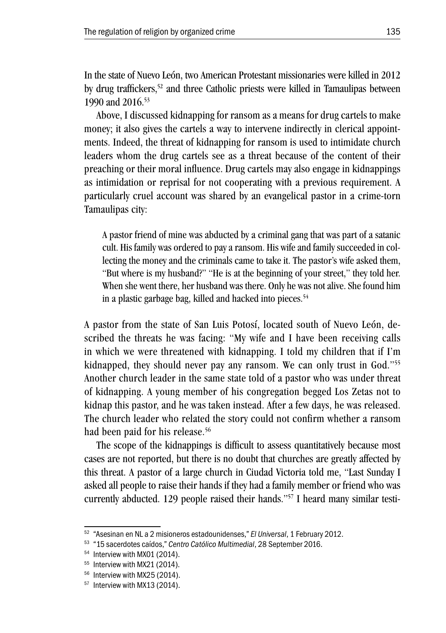In the state of Nuevo León, two American Protestant missionaries were killed in 2012 by drug traffickers,52 and three Catholic priests were killed in Tamaulipas between 1990 and 2016.53

Above, I discussed kidnapping for ransom as a means for drug cartels to make money; it also gives the cartels a way to intervene indirectly in clerical appointments. Indeed, the threat of kidnapping for ransom is used to intimidate church leaders whom the drug cartels see as a threat because of the content of their preaching or their moral influence. Drug cartels may also engage in kidnappings as intimidation or reprisal for not cooperating with a previous requirement. A particularly cruel account was shared by an evangelical pastor in a crime-torn Tamaulipas city:

A pastor friend of mine was abducted by a criminal gang that was part of a satanic cult. His family was ordered to pay a ransom. His wife and family succeeded in collecting the money and the criminals came to take it. The pastor's wife asked them, "But where is my husband?" "He is at the beginning of your street," they told her. When she went there, her husband was there. Only he was not alive. She found him in a plastic garbage bag, killed and hacked into pieces.<sup>54</sup>

A pastor from the state of San Luis Potosí, located south of Nuevo León, described the threats he was facing: "My wife and I have been receiving calls in which we were threatened with kidnapping. I told my children that if I'm kidnapped, they should never pay any ransom. We can only trust in God."55 Another church leader in the same state told of a pastor who was under threat of kidnapping. A young member of his congregation begged Los Zetas not to kidnap this pastor, and he was taken instead. After a few days, he was released. The church leader who related the story could not confirm whether a ransom had been paid for his release.<sup>56</sup>

The scope of the kidnappings is difficult to assess quantitatively because most cases are not reported, but there is no doubt that churches are greatly affected by this threat. A pastor of a large church in Ciudad Victoria told me, "Last Sunday I asked all people to raise their hands if they had a family member or friend who was currently abducted. 129 people raised their hands."57 I heard many similar testi-

<sup>52</sup> "Asesinan en NL a 2 misioneros estadounidenses," *El Universal*, 1 February 2012.

<sup>53</sup> "15 sacerdotes caídos," *Centro Católico Multimedial*, 28 September 2016.

<sup>&</sup>lt;sup>54</sup> Interview with MX01 (2014).

<sup>55</sup> Interview with MX21 (2014).

<sup>&</sup>lt;sup>56</sup> Interview with MX25 (2014).

<sup>&</sup>lt;sup>57</sup> Interview with MX13 (2014).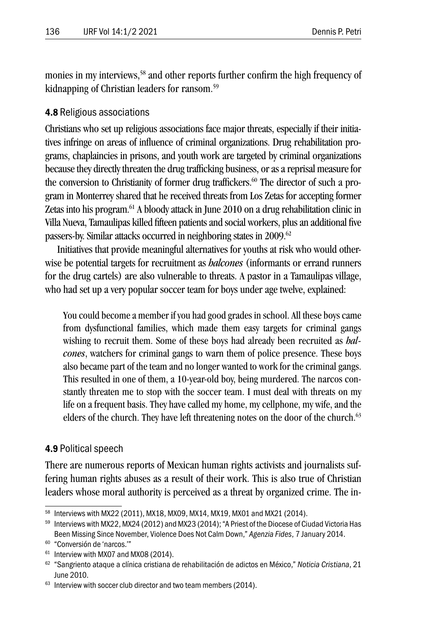monies in my interviews,<sup>58</sup> and other reports further confirm the high frequency of kidnapping of Christian leaders for ransom.59

#### 4.8 Religious associations

Christians who set up religious associations face major threats, especially if their initiatives infringe on areas of influence of criminal organizations. Drug rehabilitation programs, chaplaincies in prisons, and youth work are targeted by criminal organizations because they directly threaten the drug trafficking business, or as a reprisal measure for the conversion to Christianity of former drug traffickers.<sup>60</sup> The director of such a program in Monterrey shared that he received threats from Los Zetas for accepting former Zetas into his program.61 A bloody attack in June 2010 on a drug rehabilitation clinic in Villa Nueva, Tamaulipas killed fifteen patients and social workers, plus an additional five passers-by. Similar attacks occurred in neighboring states in 2009.<sup>62</sup>

Initiatives that provide meaningful alternatives for youths at risk who would otherwise be potential targets for recruitment as *halcones* (informants or errand runners for the drug cartels) are also vulnerable to threats. A pastor in a Tamaulipas village, who had set up a very popular soccer team for boys under age twelve, explained:

You could become a member if you had good grades in school. All these boys came from dysfunctional families, which made them easy targets for criminal gangs wishing to recruit them. Some of these boys had already been recruited as *halcones*, watchers for criminal gangs to warn them of police presence. These boys also became part of the team and no longer wanted to work for the criminal gangs. This resulted in one of them, a 10-year-old boy, being murdered. The narcos constantly threaten me to stop with the soccer team. I must deal with threats on my life on a frequent basis. They have called my home, my cellphone, my wife, and the elders of the church. They have left threatening notes on the door of the church. $63$ 

#### 4.9 Political speech

There are numerous reports of Mexican human rights activists and journalists suffering human rights abuses as a result of their work. This is also true of Christian leaders whose moral authority is perceived as a threat by organized crime. The in-

<sup>58</sup> Interviews with MX22 (2011), MX18, MX09, MX14, MX19, MX01 and MX21 (2014).

<sup>59</sup> Interviews with MX22, MX24 (2012) and MX23 (2014); "A Priest of the Diocese of Ciudad Victoria Has Been Missing Since November, Violence Does Not Calm Down," *Agenzia Fides*, 7 January 2014.

<sup>60</sup> "Conversión de 'narcos.'"

 $61$  Interview with MX07 and MX08 (2014).

<sup>62</sup> "Sangriento ataque a clínica cristiana de rehabilitación de adictos en México," *Noticia Cristiana*, 21 June 2010.

 $63$  Interview with soccer club director and two team members (2014).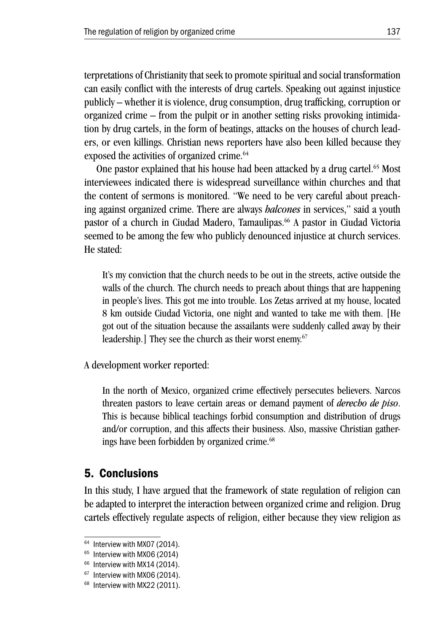terpretations of Christianity that seek to promote spiritual and social transformation can easily conflict with the interests of drug cartels. Speaking out against injustice publicly – whether it is violence, drug consumption, drug trafficking, corruption or organized crime – from the pulpit or in another setting risks provoking intimidation by drug cartels, in the form of beatings, attacks on the houses of church leaders, or even killings. Christian news reporters have also been killed because they exposed the activities of organized crime.<sup>64</sup>

One pastor explained that his house had been attacked by a drug cartel.<sup>65</sup> Most interviewees indicated there is widespread surveillance within churches and that the content of sermons is monitored. "We need to be very careful about preaching against organized crime. There are always *halcones* in services," said a youth pastor of a church in Ciudad Madero, Tamaulipas.66 A pastor in Ciudad Victoria seemed to be among the few who publicly denounced injustice at church services. He stated:

It's my conviction that the church needs to be out in the streets, active outside the walls of the church. The church needs to preach about things that are happening in people's lives. This got me into trouble. Los Zetas arrived at my house, located 8 km outside Ciudad Victoria, one night and wanted to take me with them. [He got out of the situation because the assailants were suddenly called away by their leadership.] They see the church as their worst enemy.<sup>67</sup>

A development worker reported:

In the north of Mexico, organized crime effectively persecutes believers. Narcos threaten pastors to leave certain areas or demand payment of *derecho de piso*. This is because biblical teachings forbid consumption and distribution of drugs and/or corruption, and this affects their business. Also, massive Christian gatherings have been forbidden by organized crime.<sup>68</sup>

# 5. Conclusions

In this study, I have argued that the framework of state regulation of religion can be adapted to interpret the interaction between organized crime and religion. Drug cartels effectively regulate aspects of religion, either because they view religion as

<sup>&</sup>lt;sup>64</sup> Interview with MX07 (2014).

<sup>&</sup>lt;sup>65</sup> Interview with MX06 (2014)

<sup>&</sup>lt;sup>66</sup> Interview with MX14 (2014).

 $67$  Interview with MX06 (2014).

<sup>&</sup>lt;sup>68</sup> Interview with MX22 (2011).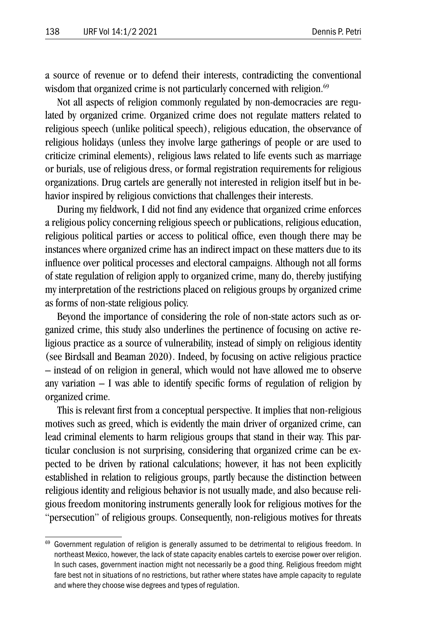a source of revenue or to defend their interests, contradicting the conventional wisdom that organized crime is not particularly concerned with religion.<sup>69</sup>

Not all aspects of religion commonly regulated by non-democracies are regulated by organized crime. Organized crime does not regulate matters related to religious speech (unlike political speech), religious education, the observance of religious holidays (unless they involve large gatherings of people or are used to criticize criminal elements), religious laws related to life events such as marriage or burials, use of religious dress, or formal registration requirements for religious organizations. Drug cartels are generally not interested in religion itself but in behavior inspired by religious convictions that challenges their interests.

During my fieldwork, I did not find any evidence that organized crime enforces a religious policy concerning religious speech or publications, religious education, religious political parties or access to political office, even though there may be instances where organized crime has an indirect impact on these matters due to its influence over political processes and electoral campaigns. Although not all forms of state regulation of religion apply to organized crime, many do, thereby justifying my interpretation of the restrictions placed on religious groups by organized crime as forms of non-state religious policy.

Beyond the importance of considering the role of non-state actors such as organized crime, this study also underlines the pertinence of focusing on active religious practice as a source of vulnerability, instead of simply on religious identity (see Birdsall and Beaman 2020). Indeed, by focusing on active religious practice – instead of on religion in general, which would not have allowed me to observe any variation – I was able to identify specific forms of regulation of religion by organized crime.

This is relevant first from a conceptual perspective. It implies that non-religious motives such as greed, which is evidently the main driver of organized crime, can lead criminal elements to harm religious groups that stand in their way. This particular conclusion is not surprising, considering that organized crime can be expected to be driven by rational calculations; however, it has not been explicitly established in relation to religious groups, partly because the distinction between religious identity and religious behavior is not usually made, and also because religious freedom monitoring instruments generally look for religious motives for the "persecution" of religious groups. Consequently, non-religious motives for threats

<sup>&</sup>lt;sup>69</sup> Government regulation of religion is generally assumed to be detrimental to religious freedom. In northeast Mexico, however, the lack of state capacity enables cartels to exercise power over religion. In such cases, government inaction might not necessarily be a good thing. Religious freedom might fare best not in situations of no restrictions, but rather where states have ample capacity to regulate and where they choose wise degrees and types of regulation.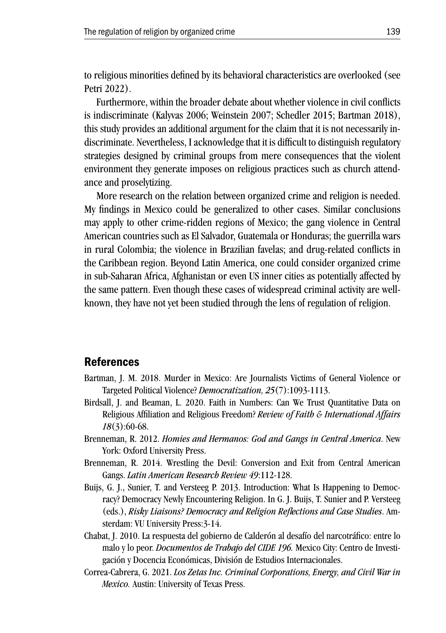to religious minorities defined by its behavioral characteristics are overlooked (see Petri 2022).

Furthermore, within the broader debate about whether violence in civil conflicts is indiscriminate (Kalyvas 2006; Weinstein 2007; Schedler 2015; Bartman 2018), this study provides an additional argument for the claim that it is not necessarily indiscriminate. Nevertheless, I acknowledge that it is difficult to distinguish regulatory strategies designed by criminal groups from mere consequences that the violent environment they generate imposes on religious practices such as church attendance and proselytizing.

More research on the relation between organized crime and religion is needed. My findings in Mexico could be generalized to other cases. Similar conclusions may apply to other crime-ridden regions of Mexico; the gang violence in Central American countries such as El Salvador, Guatemala or Honduras; the guerrilla wars in rural Colombia; the violence in Brazilian favelas; and drug-related conflicts in the Caribbean region. Beyond Latin America, one could consider organized crime in sub-Saharan Africa, Afghanistan or even US inner cities as potentially affected by the same pattern. Even though these cases of widespread criminal activity are wellknown, they have not yet been studied through the lens of regulation of religion.

## References

- Bartman, J. M. 2018. Murder in Mexico: Are Journalists Victims of General Violence or Targeted Political Violence? *Democratization, 25*(7):1093-1113.
- Birdsall, J. and Beaman, L. 2020. Faith in Numbers: Can We Trust Quantitative Data on Religious Affiliation and Religious Freedom? *Review of Faith & International Affairs 18*(3):60-68.
- Brenneman, R. 2012. *Homies and Hermanos: God and Gangs in Central America*. New York: Oxford University Press.
- Brenneman, R. 2014. Wrestling the Devil: Conversion and Exit from Central American Gangs. *Latin American Research Review 49*:112-128.
- Buijs, G. J., Sunier, T. and Versteeg P. 2013. Introduction: What Is Happening to Democracy? Democracy Newly Encountering Religion. In G. J. Buijs, T. Sunier and P. Versteeg (eds.), *Risky Liaisons? Democracy and Religion Reflections and Case Studies*. Amsterdam: VU University Press:3-14.
- Chabat, J. 2010. La respuesta del gobierno de Calderón al desafío del narcotráfico: entre lo malo y lo peor. *Documentos de Trabajo del CIDE 196.* Mexico City: Centro de Investigación y Docencia Económicas, División de Estudios Internacionales.
- Correa-Cabrera, G. 2021. *Los Zetas Inc. Criminal Corporations, Energy, and Civil War in Mexico.* Austin: University of Texas Press.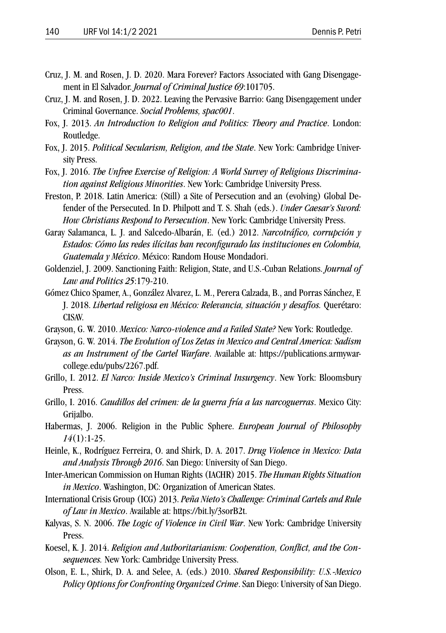- Cruz, J. M. and Rosen, J. D. 2020. Mara Forever? Factors Associated with Gang Disengagement in El Salvador. *Journal of Criminal Justice 69*:101705.
- Cruz, J. M. and Rosen, J. D. 2022. Leaving the Pervasive Barrio: Gang Disengagement under Criminal Governance. *Social Problems, spac001*.
- Fox, J. 2013. *An Introduction to Religion and Politics: Theory and Practice*. London: Routledge.
- Fox, J. 2015. *Political Secularism, Religion, and the State*. New York: Cambridge University Press.
- Fox, J. 2016. *The Unfree Exercise of Religion: A World Survey of Religious Discrimination against Religious Minorities*. New York: Cambridge University Press.
- Freston, P. 2018. Latin America: (Still) a Site of Persecution and an (evolving) Global Defender of the Persecuted. In D. Philpott and T. S. Shah (eds.). *Under Caesar's Sword: How Christians Respond to Persecution*. New York: Cambridge University Press.
- Garay Salamanca, L. J. and Salcedo-Albarán, E. (ed.) 2012. *Narcotráfico, corrupción y Estados: Cómo las redes ilícitas han reconfigurado las instituciones en Colombia, Guatemala y México*. México: Random House Mondadori.
- Goldenziel, J. 2009. Sanctioning Faith: Religion, State, and U.S.-Cuban Relations. *Journal of Law and Politics 25*:179-210.
- Gómez Chico Spamer, A., González Alvarez, L. M., Perera Calzada, B., and Porras Sánchez, F. J. 2018. *Libertad religiosa en México: Relevancia, situación y desafíos.* Querétaro: CISAV.
- Grayson, G. W. 2010. *Mexico: Narco-violence and a Failed State?* New York: Routledge.
- Grayson, G. W. 2014. *The Evolution of Los Zetas in Mexico and Central America: Sadism as an Instrument of the Cartel Warfare*. Available at: https://publications.armywarcollege.edu/pubs/2267.pdf.
- Grillo, I. 2012. *El Narco: Inside Mexico's Criminal Insurgency*. New York: Bloomsbury Press.
- Grillo, I. 2016. *Caudillos del crimen: de la guerra fría a las narcoguerras*. Mexico City: Grijalbo.
- Habermas, J. 2006. Religion in the Public Sphere. *European Journal of Philosophy 14*(1):1-25.
- Heinle, K., Rodríguez Ferreira, O. and Shirk, D. A. 2017. *Drug Violence in Mexico: Data and Analysis Through 2016*. San Diego: University of San Diego.
- Inter-American Commission on Human Rights (IACHR) 2015. *The Human Rights Situation in Mexico*. Washington, DC: Organization of American States.
- International Crisis Group (ICG) 2013. *Peña Nieto's Challenge: Criminal Cartels and Rule of Law in Mexico*. Available at: https://bit.ly/3sorB2t.
- Kalyvas, S. N. 2006. *The Logic of Violence in Civil War*. New York: Cambridge University Press.
- Koesel, K. J. 2014. *Religion and Authoritarianism: Cooperation, Conflict, and the Consequences.* New York: Cambridge University Press.
- Olson, E. L., Shirk, D. A. and Selee, A. (eds.) 2010. *Shared Responsibility: U.S.-Mexico Policy Options for Confronting Organized Crime*. San Diego: University of San Diego.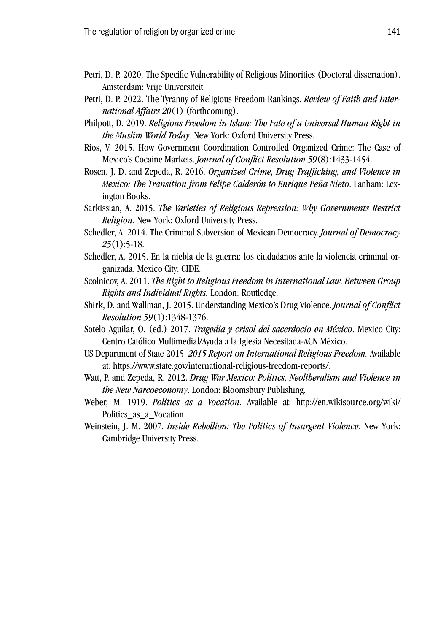- Petri, D. P. 2020. The Specific Vulnerability of Religious Minorities (Doctoral dissertation). Amsterdam: Vrije Universiteit.
- Petri, D. P. 2022. The Tyranny of Religious Freedom Rankings. *Review of Faith and International Affairs 20*(1) (forthcoming).
- Philpott, D. 2019. *Religious Freedom in Islam: The Fate of a Universal Human Right in the Muslim World Today*. New York: Oxford University Press.
- Rios, V. 2015. How Government Coordination Controlled Organized Crime: The Case of Mexico's Cocaine Markets. *Journal of Conflict Resolution 59*(8):1433-1454.
- Rosen, J. D. and Zepeda, R. 2016. *Organized Crime, Drug Trafficking, and Violence in Mexico: The Transition from Felipe Calderón to Enrique Peña Nieto*. Lanham: Lexington Books.
- Sarkissian, A. 2015. *The Varieties of Religious Repression: Why Governments Restrict Religion.* New York: Oxford University Press.
- Schedler, A. 2014. The Criminal Subversion of Mexican Democracy. *Journal of Democracy 25*(1):5-18.
- Schedler, A. 2015. En la niebla de la guerra: los ciudadanos ante la violencia criminal organizada. Mexico City: CIDE.
- Scolnicov, A. 2011. *The Right to Religious Freedom in International Law. Between Group Rights and Individual Rights.* London: Routledge.
- Shirk, D. and Wallman, J. 2015. Understanding Mexico's Drug Violence. *Journal of Conflict Resolution 59*(1):1348-1376.
- Sotelo Aguilar, O. (ed.) 2017. *Tragedia y crisol del sacerdocio en México*. Mexico City: Centro Católico Multimedial/Ayuda a la Iglesia Necesitada-ACN México.
- US Department of State 2015. *2015 Report on International Religious Freedom.* Available at: https://www.state.gov/international-religious-freedom-reports/.
- Watt, P. and Zepeda, R. 2012. *Drug War Mexico: Politics, Neoliberalism and Violence in the New Narcoeconomy*. London: Bloomsbury Publishing.
- Weber, M. 1919. *Politics as a Vocation*. Available at: http://en.wikisource.org/wiki/ Politics\_as\_a\_Vocation.
- Weinstein, J. M. 2007. *Inside Rebellion: The Politics of Insurgent Violence*. New York: Cambridge University Press.